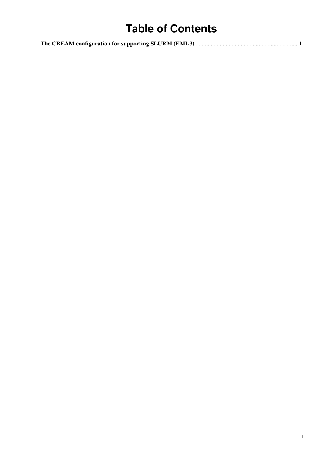## **Table of Contents**

|--|--|